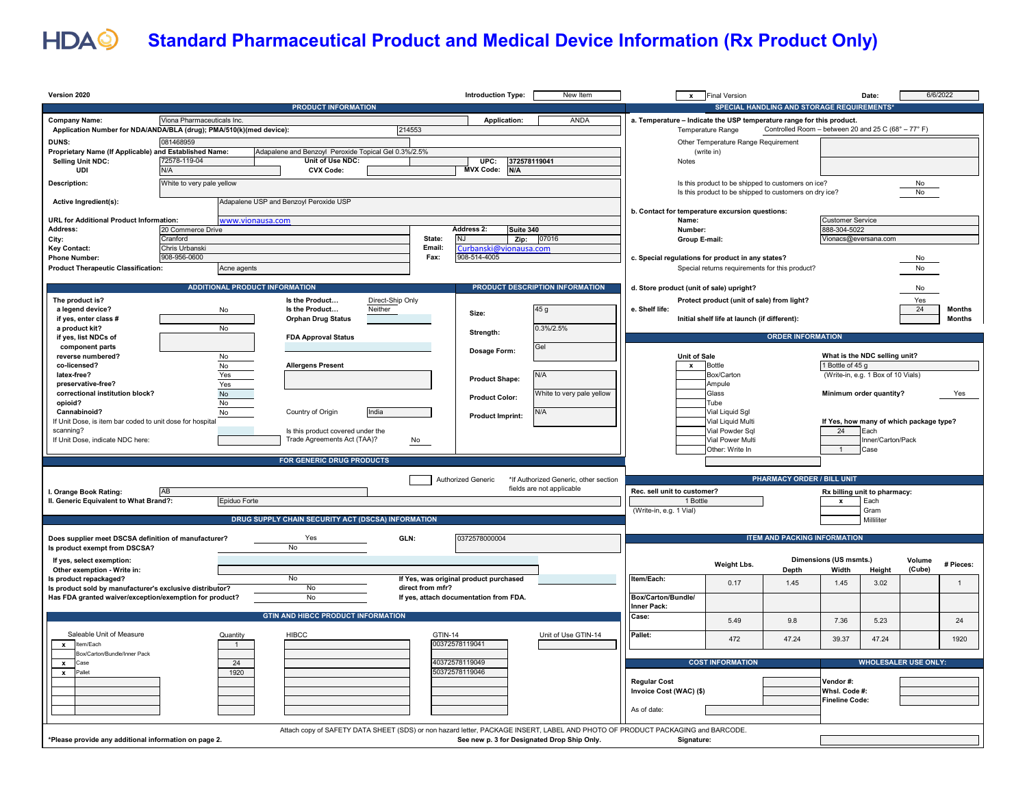

## **Standard Pharmaceutical Product and Medical Device Information (Rx Product Only)**

| Version 2020                                                              |                                                                               |                                       |                                                      |                  |                                  | <b>Introduction Type:</b>              | New Item                                                                                                                       |                                                                                                     | <b>Final Version</b><br>$\mathbf{x}$                                       |                                     |                                 | Date:                                   |                  | 6/6/2022      |
|---------------------------------------------------------------------------|-------------------------------------------------------------------------------|---------------------------------------|------------------------------------------------------|------------------|----------------------------------|----------------------------------------|--------------------------------------------------------------------------------------------------------------------------------|-----------------------------------------------------------------------------------------------------|----------------------------------------------------------------------------|-------------------------------------|---------------------------------|-----------------------------------------|------------------|---------------|
| <b>PRODUCT INFORMATION</b>                                                |                                                                               |                                       |                                                      |                  |                                  |                                        | <b>SPECIAL HANDLING AND STORAGE REQUIREMENTS'</b>                                                                              |                                                                                                     |                                                                            |                                     |                                 |                                         |                  |               |
| <b>Company Name:</b>                                                      | Viona Pharmaceuticals Inc.                                                    |                                       |                                                      |                  |                                  | Application:                           | ANDA                                                                                                                           | a. Temperature - Indicate the USP temperature range for this product.                               |                                                                            |                                     |                                 |                                         |                  |               |
|                                                                           | 214553<br>Application Number for NDA/ANDA/BLA (drug); PMA/510(k)(med device): |                                       |                                                      |                  |                                  |                                        |                                                                                                                                | Controlled Room - between 20 and 25 C (68° - 77° F)<br>Temperature Range                            |                                                                            |                                     |                                 |                                         |                  |               |
| <b>DUNS:</b><br>Proprietary Name (If Applicable) and Established Name:    | 081468959                                                                     |                                       | Adapalene and Benzoyl Peroxide Topical Gel 0.3%/2.5% |                  |                                  |                                        |                                                                                                                                |                                                                                                     | Other Temperature Range Requirement<br>(write in)                          |                                     |                                 |                                         |                  |               |
| Selling Unit NDC:                                                         | 72578-119-04                                                                  |                                       | Unit of Use NDC:                                     |                  |                                  | UPC:                                   | 372578119041                                                                                                                   | Notes                                                                                               |                                                                            |                                     |                                 |                                         |                  |               |
| UDI                                                                       | N/A                                                                           |                                       | <b>CVX Code:</b>                                     |                  |                                  | <b>MVX Code:</b><br>N/A                |                                                                                                                                |                                                                                                     |                                                                            |                                     |                                 |                                         |                  |               |
| Description:                                                              | White to very pale yellow                                                     |                                       |                                                      |                  |                                  |                                        |                                                                                                                                |                                                                                                     | Is this product to be shipped to customers on ice?                         |                                     |                                 |                                         | No               |               |
| Adapalene USP and Benzoyl Peroxide USP<br>Active Ingredient(s):           |                                                                               |                                       |                                                      |                  |                                  |                                        |                                                                                                                                | Is this product to be shipped to customers on dry ice?<br>No                                        |                                                                            |                                     |                                 |                                         |                  |               |
|                                                                           |                                                                               |                                       |                                                      |                  |                                  |                                        |                                                                                                                                |                                                                                                     | b. Contact for temperature excursion questions:<br><b>Customer Service</b> |                                     |                                 |                                         |                  |               |
| <b>URL for Additional Product Information:</b><br>Address:                | 20 Commerce Drive                                                             | www.vionausa.com                      |                                                      |                  |                                  | <b>Address 2:</b><br>Suite 340         |                                                                                                                                | Name:                                                                                               | Number:                                                                    |                                     | 888-304-5022                    |                                         |                  |               |
| City:                                                                     | Cranford                                                                      |                                       |                                                      |                  | State:<br>N.I<br>Zip: 07016      |                                        |                                                                                                                                | Group E-mail:                                                                                       |                                                                            |                                     | Vionacs@eversana.com            |                                         |                  |               |
| <b>Key Contact:</b>                                                       | Chris Urbanski                                                                |                                       |                                                      |                  | Email:<br>Curbanski@vionausa.com |                                        |                                                                                                                                |                                                                                                     |                                                                            |                                     |                                 |                                         |                  |               |
| <b>Phone Number:</b>                                                      |                                                                               | 908-956-0600                          |                                                      |                  | Fax:<br>908-514-4005             |                                        |                                                                                                                                | c. Special regulations for product in any states?<br>Special returns requirements for this product? |                                                                            |                                     |                                 | No                                      |                  |               |
| <b>Product Therapeutic Classification:</b>                                |                                                                               | Acne agents                           |                                                      |                  |                                  |                                        |                                                                                                                                |                                                                                                     |                                                                            |                                     |                                 |                                         | No               |               |
|                                                                           |                                                                               | <b>ADDITIONAL PRODUCT INFORMATION</b> |                                                      |                  |                                  |                                        | PRODUCT DESCRIPTION INFORMATION                                                                                                |                                                                                                     | d. Store product (unit of sale) upright?                                   |                                     |                                 |                                         | No               |               |
| The product is?                                                           |                                                                               |                                       | Is the Product                                       | Direct-Ship Only |                                  |                                        |                                                                                                                                |                                                                                                     | Protect product (unit of sale) from light?                                 |                                     |                                 |                                         | Yes              |               |
| a legend device?                                                          |                                                                               | No                                    | Is the Product                                       | Neither          |                                  | Size:                                  | 45 g                                                                                                                           | e. Shelf life:                                                                                      |                                                                            |                                     |                                 |                                         | 24               | <b>Months</b> |
| if yes, enter class #                                                     |                                                                               |                                       | <b>Orphan Drug Status</b>                            |                  |                                  |                                        |                                                                                                                                |                                                                                                     | Initial shelf life at launch (if different):                               |                                     |                                 |                                         |                  | <b>Months</b> |
| a product kit?<br>if yes, list NDCs of                                    |                                                                               | No                                    | <b>FDA Approval Status</b>                           |                  |                                  | Strength:                              | 0.3%/2.5%                                                                                                                      |                                                                                                     |                                                                            | <b>ORDER INFORMATION</b>            |                                 |                                         |                  |               |
| component parts                                                           |                                                                               |                                       |                                                      |                  |                                  | Dosage Form:                           | Gel                                                                                                                            |                                                                                                     |                                                                            |                                     |                                 |                                         |                  |               |
| reverse numbered?                                                         |                                                                               | $\mathsf{No}$                         |                                                      |                  |                                  |                                        |                                                                                                                                |                                                                                                     | <b>Unit of Sale</b>                                                        |                                     |                                 | What is the NDC selling unit?           |                  |               |
| co-licensed?                                                              |                                                                               | $\overline{N}$                        | <b>Allergens Present</b>                             |                  |                                  |                                        |                                                                                                                                |                                                                                                     | $\boldsymbol{x}$<br><b>Bottle</b>                                          |                                     | 1 Bottle of 45 g                |                                         |                  |               |
| latex-free?<br>preservative-free?                                         |                                                                               | Yes<br>Yes                            |                                                      |                  |                                  | <b>Product Shape:</b>                  | N/A                                                                                                                            |                                                                                                     | Box/Carton<br>Ampule                                                       |                                     |                                 | (Write-in, e.g. 1 Box of 10 Vials)      |                  |               |
| correctional institution block?                                           |                                                                               | No                                    |                                                      |                  |                                  | <b>Product Color:</b>                  | White to very pale yellow                                                                                                      |                                                                                                     | Glass                                                                      |                                     |                                 | Minimum order quantity?                 |                  | Yes           |
| opioid?                                                                   |                                                                               | $\mathsf{No}$                         |                                                      |                  |                                  |                                        |                                                                                                                                |                                                                                                     | Tube                                                                       |                                     |                                 |                                         |                  |               |
| Cannabinoid?<br>If Unit Dose, is item bar coded to unit dose for hospital |                                                                               | No                                    | Country of Origin                                    | India            |                                  | <b>Product Imprint:</b>                | N/A                                                                                                                            |                                                                                                     | Vial Liquid Sql<br>Vial Liquid Multi                                       |                                     |                                 | If Yes, how many of which package type? |                  |               |
| scanning?                                                                 |                                                                               |                                       | Is this product covered under the                    |                  |                                  |                                        |                                                                                                                                |                                                                                                     | Vial Powder Sql                                                            |                                     | 24                              | Each                                    |                  |               |
| If Unit Dose, indicate NDC here:                                          |                                                                               |                                       | Trade Agreements Act (TAA)?                          |                  | No                               |                                        |                                                                                                                                |                                                                                                     | Vial Power Multi                                                           |                                     |                                 | Inner/Carton/Pack                       |                  |               |
|                                                                           |                                                                               |                                       |                                                      |                  |                                  |                                        |                                                                                                                                |                                                                                                     | Other: Write In                                                            |                                     | $\overline{1}$                  | Case                                    |                  |               |
|                                                                           |                                                                               |                                       | <b>FOR GENERIC DRUG PRODUCTS</b>                     |                  |                                  |                                        |                                                                                                                                |                                                                                                     |                                                                            |                                     |                                 |                                         |                  |               |
|                                                                           |                                                                               |                                       |                                                      |                  |                                  | Authorized Generic                     | *If Authorized Generic, other section                                                                                          |                                                                                                     |                                                                            | <b>PHARMACY ORDER / BILL UNIT</b>   |                                 |                                         |                  |               |
| . Orange Book Rating:                                                     | AB                                                                            |                                       |                                                      |                  |                                  |                                        | fields are not applicable                                                                                                      | Rec. sell unit to customer?                                                                         |                                                                            |                                     |                                 | Rx billing unit to pharmacy:            |                  |               |
| II. Generic Equivalent to What Brand?:                                    |                                                                               | Epiduo Forte                          |                                                      |                  |                                  |                                        |                                                                                                                                |                                                                                                     | 1 Bottle                                                                   |                                     | $\mathbf{x}$                    | Each                                    |                  |               |
|                                                                           |                                                                               |                                       | DRUG SUPPLY CHAIN SECURITY ACT (DSCSA) INFORMATION   |                  |                                  |                                        |                                                                                                                                | (Write-in, e.g. 1 Vial)                                                                             |                                                                            |                                     |                                 | Gram<br>Milliliter                      |                  |               |
|                                                                           |                                                                               |                                       |                                                      |                  |                                  |                                        |                                                                                                                                |                                                                                                     |                                                                            |                                     |                                 |                                         |                  |               |
| Does supplier meet DSCSA definition of manufacturer?                      |                                                                               |                                       | Yes                                                  | GLN:             |                                  | 0372578000004                          |                                                                                                                                |                                                                                                     |                                                                            | <b>ITEM AND PACKING INFORMATION</b> |                                 |                                         |                  |               |
| Is product exempt from DSCSA?                                             |                                                                               |                                       | No                                                   |                  |                                  |                                        |                                                                                                                                |                                                                                                     |                                                                            |                                     |                                 |                                         |                  |               |
| If ves. select exemption:<br>Other exemption - Write in:                  |                                                                               |                                       |                                                      |                  |                                  |                                        |                                                                                                                                |                                                                                                     | Weight Lbs.                                                                | Depth                               | Dimensions (US msmts.)<br>Width | Height                                  | Volume<br>(Cube) | # Pieces:     |
| Is product repackaged?                                                    |                                                                               |                                       | <b>No</b>                                            |                  |                                  | If Yes, was original product purchased |                                                                                                                                | Item/Each:                                                                                          |                                                                            |                                     |                                 |                                         |                  |               |
| Is product sold by manufacturer's exclusive distributor?                  |                                                                               |                                       | No                                                   |                  | direct from mfr?                 |                                        |                                                                                                                                |                                                                                                     | 0.17                                                                       | 1.45                                | 1.45                            | 3.02                                    |                  | $\mathbf{1}$  |
| Has FDA granted waiver/exception/exemption for product?                   |                                                                               |                                       | No                                                   |                  |                                  | If yes, attach documentation from FDA. |                                                                                                                                | Box/Carton/Bundle/<br><b>Inner Pack:</b>                                                            |                                                                            |                                     |                                 |                                         |                  |               |
|                                                                           |                                                                               |                                       | <b>GTIN AND HIBCC PRODUCT INFORMATION</b>            |                  |                                  |                                        |                                                                                                                                | Case:                                                                                               |                                                                            |                                     |                                 |                                         |                  |               |
|                                                                           |                                                                               |                                       |                                                      |                  |                                  |                                        |                                                                                                                                |                                                                                                     | 5.49                                                                       | 9.8                                 | 7.36                            | 5.23                                    |                  | 24            |
| Saleable Unit of Measure                                                  |                                                                               | Quantity                              | <b>HIBCC</b>                                         |                  | <b>GTIN-14</b>                   |                                        | Unit of Use GTIN-14                                                                                                            | Pallet:                                                                                             | 472                                                                        | 47.24                               | 39.37                           | 47.24                                   |                  | 1920          |
| Item/Each<br>$\mathbf{x}$<br>Box/Carton/Bundle/Inner Pack                 |                                                                               | $\overline{1}$                        |                                                      |                  |                                  | 00372578119041                         |                                                                                                                                |                                                                                                     |                                                                            |                                     |                                 |                                         |                  |               |
| $\mathbf{x}$<br>Case                                                      |                                                                               | 24                                    |                                                      |                  |                                  | 40372578119049                         |                                                                                                                                |                                                                                                     | <b>COST INFORMATION</b>                                                    |                                     |                                 | <b>WHOLESALER USE ONLY:</b>             |                  |               |
| <b>x</b> Pallet                                                           |                                                                               | 1920                                  |                                                      |                  |                                  | 50372578119046                         |                                                                                                                                |                                                                                                     |                                                                            |                                     |                                 |                                         |                  |               |
|                                                                           |                                                                               |                                       |                                                      |                  |                                  |                                        |                                                                                                                                | <b>Regular Cost</b>                                                                                 |                                                                            |                                     | Vendor#:<br>Whsl. Code #:       |                                         |                  |               |
|                                                                           |                                                                               |                                       |                                                      |                  |                                  |                                        |                                                                                                                                | Invoice Cost (WAC) (\$)                                                                             |                                                                            |                                     | Fineline Code:                  |                                         |                  |               |
|                                                                           |                                                                               |                                       |                                                      |                  |                                  |                                        |                                                                                                                                | As of date:                                                                                         |                                                                            |                                     |                                 |                                         |                  |               |
|                                                                           |                                                                               |                                       |                                                      |                  |                                  |                                        |                                                                                                                                |                                                                                                     |                                                                            |                                     |                                 |                                         |                  |               |
|                                                                           |                                                                               |                                       |                                                      |                  |                                  |                                        | Attach copy of SAFETY DATA SHEET (SDS) or non hazard letter, PACKAGE INSERT, LABEL AND PHOTO OF PRODUCT PACKAGING and BARCODE. |                                                                                                     |                                                                            |                                     |                                 |                                         |                  |               |
| *Please provide any additional information on page 2.                     |                                                                               |                                       |                                                      |                  |                                  |                                        | See new p. 3 for Designated Drop Ship Only.                                                                                    |                                                                                                     | Signature:                                                                 |                                     |                                 |                                         |                  |               |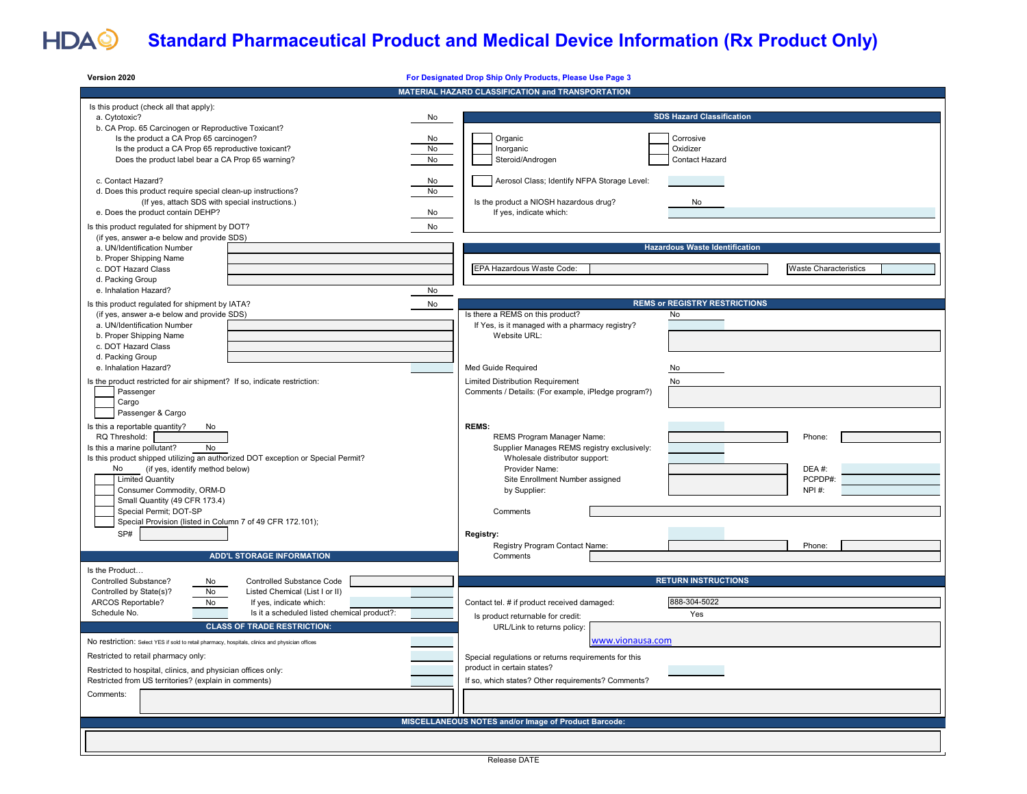## HDAQ

## **Standard Pharmaceutical Product and Medical Device Information (Rx Product Only)**

| Version 2020                                                                                                                                                                                                                                                                                                                                                                                                | For Designated Drop Ship Only Products, Please Use Page 3                                                                                                                                                                                            |  |  |  |  |
|-------------------------------------------------------------------------------------------------------------------------------------------------------------------------------------------------------------------------------------------------------------------------------------------------------------------------------------------------------------------------------------------------------------|------------------------------------------------------------------------------------------------------------------------------------------------------------------------------------------------------------------------------------------------------|--|--|--|--|
|                                                                                                                                                                                                                                                                                                                                                                                                             | MATERIAL HAZARD CLASSIFICATION and TRANSPORTATION                                                                                                                                                                                                    |  |  |  |  |
| Is this product (check all that apply):<br>a. Cytotoxic?<br>No<br>b. CA Prop. 65 Carcinogen or Reproductive Toxicant?<br>Is the product a CA Prop 65 carcinogen?<br>No<br>No<br>Is the product a CA Prop 65 reproductive toxicant?<br>Does the product label bear a CA Prop 65 warning?<br>No                                                                                                               | <b>SDS Hazard Classification</b><br>Organic<br>Corrosive<br>Inorganic<br>Oxidizer<br>Steroid/Androgen<br>Contact Hazard                                                                                                                              |  |  |  |  |
| c. Contact Hazard?<br>No<br>d. Does this product require special clean-up instructions?<br>No<br>(If yes, attach SDS with special instructions.)<br>e. Does the product contain DEHP?<br>No<br>Is this product regulated for shipment by DOT?<br>No                                                                                                                                                         | Aerosol Class; Identify NFPA Storage Level:<br>Is the product a NIOSH hazardous drug?<br>No<br>If yes, indicate which:                                                                                                                               |  |  |  |  |
| (if yes, answer a-e below and provide SDS)<br>a. UN/Identification Number<br>b. Proper Shipping Name<br>c. DOT Hazard Class<br>d. Packing Group                                                                                                                                                                                                                                                             | <b>Hazardous Waste Identification</b><br>EPA Hazardous Waste Code:<br><b>Waste Characteristics</b>                                                                                                                                                   |  |  |  |  |
| e. Inhalation Hazard?<br>No                                                                                                                                                                                                                                                                                                                                                                                 |                                                                                                                                                                                                                                                      |  |  |  |  |
| Is this product regulated for shipment by IATA?<br>No<br>(if yes, answer a-e below and provide SDS)<br>a. UN/Identification Number<br>b. Proper Shipping Name<br>c. DOT Hazard Class                                                                                                                                                                                                                        | <b>REMS or REGISTRY RESTRICTIONS</b><br>Is there a REMS on this product?<br>No<br>If Yes, is it managed with a pharmacy registry?<br>Website URL:                                                                                                    |  |  |  |  |
| d. Packing Group<br>e. Inhalation Hazard?<br>Is the product restricted for air shipment? If so, indicate restriction:<br>Passenger<br>Cargo<br>Passenger & Cargo                                                                                                                                                                                                                                            | Med Guide Required<br>No<br>Limited Distribution Requirement<br>No<br>Comments / Details: (For example, iPledge program?)                                                                                                                            |  |  |  |  |
| Is this a reportable quantity?<br>No<br>RQ Threshold:<br>Is this a marine pollutant?<br>No<br>Is this product shipped utilizing an authorized DOT exception or Special Permit?<br>(if yes, identify method below)<br>No<br><b>Limited Quantity</b><br>Consumer Commodity, ORM-D<br>Small Quantity (49 CFR 173.4)<br>Special Permit; DOT-SP<br>Special Provision (listed in Column 7 of 49 CFR 172.101);     | <b>REMS:</b><br>REMS Program Manager Name:<br>Phone:<br>Supplier Manages REMS registry exclusively:<br>Wholesale distributor support:<br>Provider Name:<br>DEA#:<br>PCPDP#:<br>Site Enrollment Number assigned<br>NPI #:<br>by Supplier:<br>Comments |  |  |  |  |
| SP#<br><b>ADD'L STORAGE INFORMATION</b>                                                                                                                                                                                                                                                                                                                                                                     | Registry:<br>Registry Program Contact Name:<br>Phone:<br>Comments                                                                                                                                                                                    |  |  |  |  |
| Is the Product<br>Controlled Substance?<br>Controlled Substance Code<br>No<br>No<br>Controlled by State(s)?<br>Listed Chemical (List I or II)<br>ARCOS Reportable?<br>No<br>If yes, indicate which:<br>Schedule No.<br>Is it a scheduled listed chemical product?:<br><b>CLASS OF TRADE RESTRICTION:</b><br>No restriction: Select YES if sold to retail pharmacy, hospitals, clinics and physician offices | <b>RETURN INSTRUCTIONS</b><br>888-304-5022<br>Contact tel. # if product received damaged:<br>Yes<br>Is product returnable for credit:<br>URL/Link to returns policy:<br>www.vionausa.com                                                             |  |  |  |  |
| Restricted to retail pharmacy only:<br>Restricted to hospital, clinics, and physician offices only:<br>Restricted from US territories? (explain in comments)<br>Comments:                                                                                                                                                                                                                                   | Special regulations or returns requirements for this<br>product in certain states?<br>If so, which states? Other requirements? Comments?                                                                                                             |  |  |  |  |
|                                                                                                                                                                                                                                                                                                                                                                                                             | MISCELLANEOUS NOTES and/or Image of Product Barcode:                                                                                                                                                                                                 |  |  |  |  |
|                                                                                                                                                                                                                                                                                                                                                                                                             |                                                                                                                                                                                                                                                      |  |  |  |  |